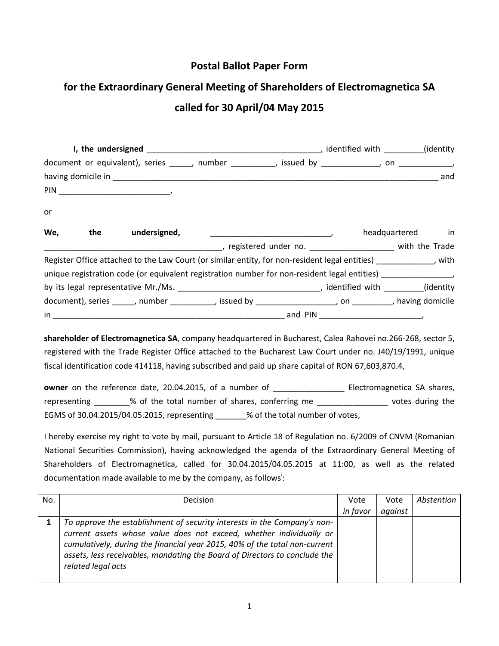## **Postal Ballot Paper Form**

## **for the Extraordinary General Meeting of Shareholders of Electromagnetica SA called for 30 April/04 May 2015**

|     |                  | document or equivalent), series ______, number __________, issued by ___________, on _____________           |  |  |                  |  |
|-----|------------------|--------------------------------------------------------------------------------------------------------------|--|--|------------------|--|
|     |                  |                                                                                                              |  |  |                  |  |
|     |                  |                                                                                                              |  |  |                  |  |
| or  |                  |                                                                                                              |  |  |                  |  |
| We, | the undersigned, | $\overline{\phantom{a}}$                                                                                     |  |  | headquartered in |  |
|     |                  |                                                                                                              |  |  |                  |  |
|     |                  | Register Office attached to the Law Court (or similar entity, for non-resident legal entities) [189] Nuth    |  |  |                  |  |
|     |                  | unique registration code (or equivalent registration number for non-resident legal entities)                 |  |  |                  |  |
|     |                  |                                                                                                              |  |  |                  |  |
|     |                  | document), series ______, number ___________, issued by _____________________, on _________, having domicile |  |  |                  |  |
|     |                  |                                                                                                              |  |  |                  |  |

**shareholder of Electromagnetica SA**, company headquartered in Bucharest, Calea Rahovei no.266-268, sector 5, registered with the Trade Register Office attached to the Bucharest Law Court under no. J40/19/1991, unique fiscal identification code 414118, having subscribed and paid up share capital of RON 67,603,870.4,

**owner** on the reference date, 20.04.2015, of a number of \_\_\_\_\_\_\_\_\_\_\_\_\_\_\_\_\_\_\_\_ Electromagnetica SA shares, representing \_\_\_\_\_\_\_% of the total number of shares, conferring me \_\_\_\_\_\_\_\_\_\_\_\_\_\_\_\_\_\_\_ votes during the EGMS of 30.04.2015/04.05.2015, representing \_\_\_\_\_\_% of the total number of votes,

I hereby exercise my right to vote by mail, pursuant to Article 18 of Regulation no. 6/2009 of CNVM (Romanian National Securities Commission), having acknowledged the agenda of the Extraordinary General Meeting of Shareholders of Electromagnetica, called for 30.04.2015/04.05.2015 at 11:00, as well as the related documentation made available to me by the company, as follows<sup>1</sup>:

| No. | Decision                                                                                                                                                                                                                                                                                                                          | Vote     | Vote    | Abstention |
|-----|-----------------------------------------------------------------------------------------------------------------------------------------------------------------------------------------------------------------------------------------------------------------------------------------------------------------------------------|----------|---------|------------|
|     |                                                                                                                                                                                                                                                                                                                                   | in favor | against |            |
|     | To approve the establishment of security interests in the Company's non-<br>current assets whose value does not exceed, whether individually or<br>cumulatively, during the financial year 2015, 40% of the total non-current<br>assets, less receivables, mandating the Board of Directors to conclude the<br>related legal acts |          |         |            |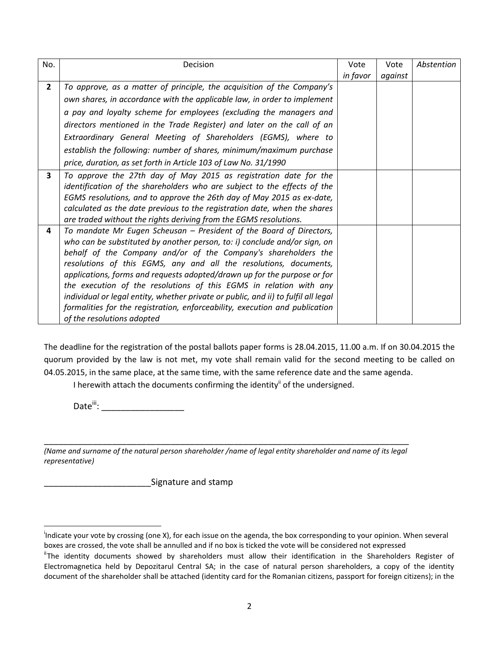| No.            | Decision                                                                           | Vote     | Vote    | Abstention |
|----------------|------------------------------------------------------------------------------------|----------|---------|------------|
|                |                                                                                    | in favor | against |            |
| $\overline{2}$ | To approve, as a matter of principle, the acquisition of the Company's             |          |         |            |
|                | own shares, in accordance with the applicable law, in order to implement           |          |         |            |
|                | a pay and loyalty scheme for employees (excluding the managers and                 |          |         |            |
|                | directors mentioned in the Trade Register) and later on the call of an             |          |         |            |
|                | Extraordinary General Meeting of Shareholders (EGMS), where to                     |          |         |            |
|                | establish the following: number of shares, minimum/maximum purchase                |          |         |            |
|                | price, duration, as set forth in Article 103 of Law No. 31/1990                    |          |         |            |
| 3              | To approve the 27th day of May 2015 as registration date for the                   |          |         |            |
|                | identification of the shareholders who are subject to the effects of the           |          |         |            |
|                | EGMS resolutions, and to approve the 26th day of May 2015 as ex-date,              |          |         |            |
|                | calculated as the date previous to the registration date, when the shares          |          |         |            |
|                | are traded without the rights deriving from the EGMS resolutions.                  |          |         |            |
| 4              | To mandate Mr Eugen Scheusan - President of the Board of Directors,                |          |         |            |
|                | who can be substituted by another person, to: i) conclude and/or sign, on          |          |         |            |
|                | behalf of the Company and/or of the Company's shareholders the                     |          |         |            |
|                | resolutions of this EGMS, any and all the resolutions, documents,                  |          |         |            |
|                | applications, forms and requests adopted/drawn up for the purpose or for           |          |         |            |
|                | the execution of the resolutions of this EGMS in relation with any                 |          |         |            |
|                | individual or legal entity, whether private or public, and ii) to fulfil all legal |          |         |            |
|                | formalities for the registration, enforceability, execution and publication        |          |         |            |
|                | of the resolutions adopted                                                         |          |         |            |

The deadline for the registration of the postal ballots paper forms is 28.04.2015, 11.00 a.m. If on 30.04.2015 the quorum provided by the law is not met, my vote shall remain valid for the second meeting to be called on 04.05.2015, in the same place, at the same time, with the same reference date and the same agenda.

I herewith attach the documents confirming the identity<sup>ii</sup> of the undersigned.

Date<sup>iii</sup>: \_\_\_\_\_\_\_\_\_\_\_\_\_\_\_\_\_\_\_\_\_\_\_\_

l

\_\_\_\_\_\_\_\_\_\_\_\_\_\_\_\_\_\_\_\_\_\_\_\_\_\_\_\_\_\_\_\_\_\_\_\_\_\_\_\_\_\_\_\_\_\_\_\_\_\_\_\_\_\_\_\_\_\_\_\_\_\_\_\_\_\_\_\_\_\_\_\_\_\_\_ *(Name and surname of the natural person shareholder /name of legal entity shareholder and name of its legal representative)*

Signature and stamp

<sup>&</sup>lt;sup>i</sup>Indicate your vote by crossing (one X), for each issue on the agenda, the box corresponding to your opinion. When several boxes are crossed, the vote shall be annulled and if no box is ticked the vote will be considered not expressed

<sup>&</sup>lt;sup>ii</sup>The identity documents showed by shareholders must allow their identification in the Shareholders Register of Electromagnetica held by Depozitarul Central SA; in the case of natural person shareholders, a copy of the identity document of the shareholder shall be attached (identity card for the Romanian citizens, passport for foreign citizens); in the